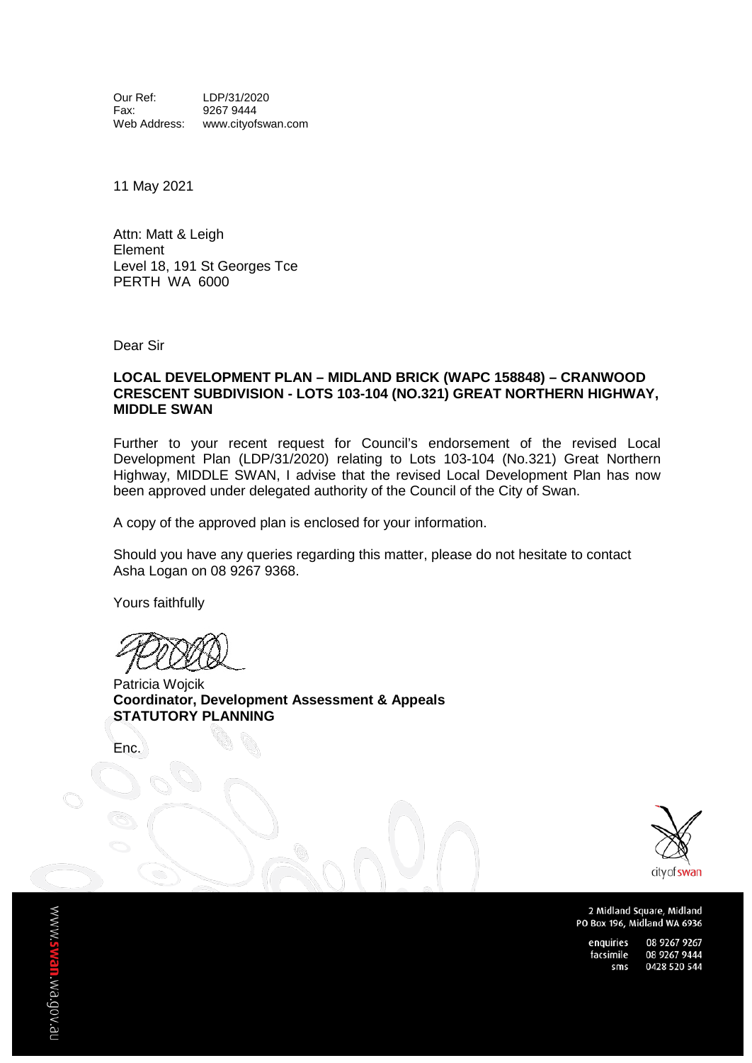Our Ref: LDP/31/2020<br>Fax: 9267 9444 Fax: 9267 9444<br>Web Address: www.cityof www.cityofswan.com

11 May 2021

Attn: Matt & Leigh Element Level 18, 191 St Georges Tce PERTH WA 6000

Dear Sir

#### **LOCAL DEVELOPMENT PLAN – MIDLAND BRICK (WAPC 158848) – CRANWOOD CRESCENT SUBDIVISION - LOTS 103-104 (NO.321) GREAT NORTHERN HIGHWAY, MIDDLE SWAN**

Further to your recent request for Council's endorsement of the revised Local Development Plan (LDP/31/2020) relating to Lots 103-104 (No.321) Great Northern Highway, MIDDLE SWAN, I advise that the revised Local Development Plan has now been approved under delegated authority of the Council of the City of Swan.

A copy of the approved plan is enclosed for your information.

Should you have any queries regarding this matter, please do not hesitate to contact Asha Logan on 08 9267 9368.

Yours faithfully

Patricia Wojcik **Coordinator, Development Assessment & Appeals STATUTORY PLANNING**

Enc.



2 Midland Square, Midland PO Box 196, Midland WA 6936

enquiries 08 9267 9267 facsimile 08 9267 9444 0428 520 544 sms